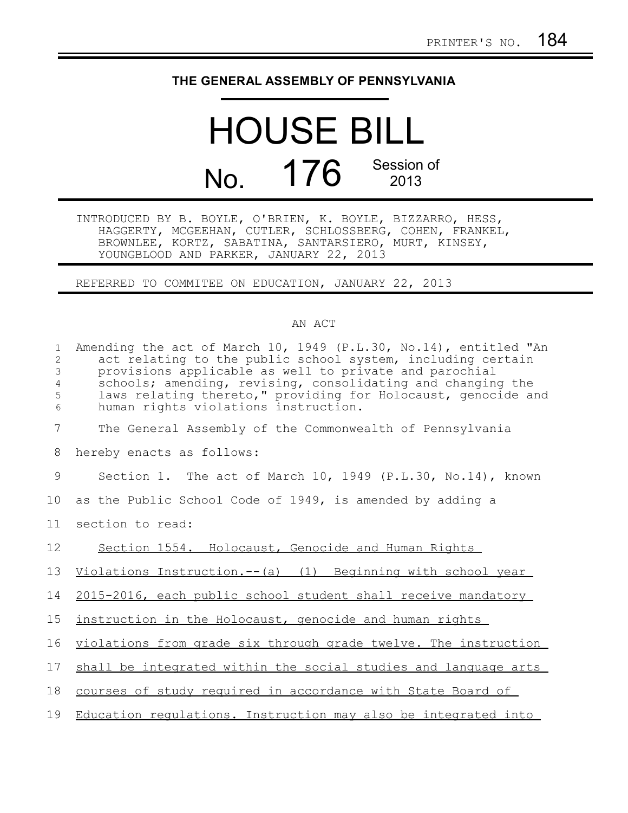## **THE GENERAL ASSEMBLY OF PENNSYLVANIA**

## HOUSE BILL No. 176 Session of

INTRODUCED BY B. BOYLE, O'BRIEN, K. BOYLE, BIZZARRO, HESS, HAGGERTY, MCGEEHAN, CUTLER, SCHLOSSBERG, COHEN, FRANKEL, BROWNLEE, KORTZ, SABATINA, SANTARSIERO, MURT, KINSEY, YOUNGBLOOD AND PARKER, JANUARY 22, 2013

REFERRED TO COMMITEE ON EDUCATION, JANUARY 22, 2013

## AN ACT

| $\mathbf{1}$<br>$\overline{2}$<br>3<br>4<br>5<br>6 | Amending the act of March 10, 1949 (P.L.30, No.14), entitled "An<br>act relating to the public school system, including certain<br>provisions applicable as well to private and parochial<br>schools; amending, revising, consolidating and changing the<br>laws relating thereto," providing for Holocaust, genocide and<br>human rights violations instruction. |
|----------------------------------------------------|-------------------------------------------------------------------------------------------------------------------------------------------------------------------------------------------------------------------------------------------------------------------------------------------------------------------------------------------------------------------|
| 7                                                  | The General Assembly of the Commonwealth of Pennsylvania                                                                                                                                                                                                                                                                                                          |
| 8                                                  | hereby enacts as follows:                                                                                                                                                                                                                                                                                                                                         |
| 9                                                  | Section 1. The act of March 10, 1949 (P.L.30, No.14), known                                                                                                                                                                                                                                                                                                       |
| 10                                                 | as the Public School Code of 1949, is amended by adding a                                                                                                                                                                                                                                                                                                         |
| 11                                                 | section to read:                                                                                                                                                                                                                                                                                                                                                  |
| 12                                                 | Section 1554. Holocaust, Genocide and Human Rights                                                                                                                                                                                                                                                                                                                |
| 13                                                 | Violations Instruction.-- (a) (1) Beginning with school year                                                                                                                                                                                                                                                                                                      |
| 14                                                 | 2015-2016, each public school student shall receive mandatory                                                                                                                                                                                                                                                                                                     |
| 15                                                 | instruction in the Holocaust, genocide and human rights                                                                                                                                                                                                                                                                                                           |
| 16                                                 | violations from grade six through grade twelve. The instruction                                                                                                                                                                                                                                                                                                   |
| 17                                                 | shall be integrated within the social studies and language arts                                                                                                                                                                                                                                                                                                   |
| 18                                                 | courses of study required in accordance with State Board of                                                                                                                                                                                                                                                                                                       |
| 19                                                 | Education regulations. Instruction may also be integrated into                                                                                                                                                                                                                                                                                                    |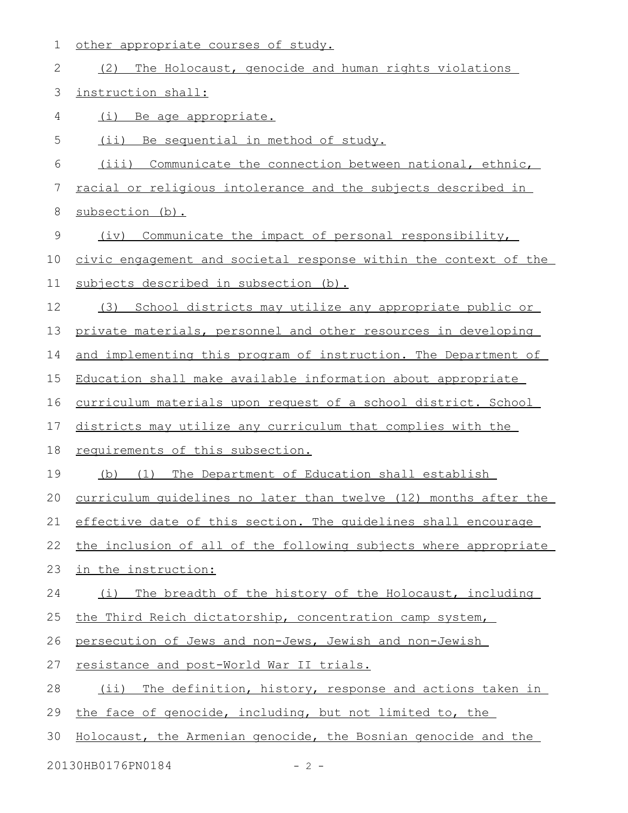|  | 1 other appropriate courses of study. |  |  |
|--|---------------------------------------|--|--|
|  |                                       |  |  |

| $\mathbf 2$ | The Holocaust, genocide and human rights violations<br>(2)             |
|-------------|------------------------------------------------------------------------|
| 3           | instruction shall:                                                     |
| 4           | (i) Be age appropriate.                                                |
| 5           | (ii) Be sequential in method of study.                                 |
| 6           | Communicate the connection between national, ethnic,<br>(iii)          |
| 7           | racial or religious intolerance and the subjects described in          |
| $8\,$       | subsection (b).                                                        |
| $\mathsf 9$ | (iv) Communicate the impact of personal responsibility,                |
| 10          | civic engagement and societal response within the context of the       |
| 11          | subjects described in subsection (b).                                  |
| 12          | (3) School districts may utilize any appropriate public or             |
| 13          | private materials, personnel and other resources in developing         |
| 14          | <u>and implementing this program of instruction. The Department of</u> |
| 15          | Education shall make available information about appropriate           |
| 16          | curriculum materials upon request of a school district. School         |
| 17          | districts may utilize any curriculum that complies with the            |
| 18          | requirements of this subsection.                                       |
| 19          | (1)<br>The Department of Education shall establish<br>(b)              |
| 20          | curriculum quidelines no later than twelve (12) months after the       |
| 21          | effective date of this section. The guidelines shall encourage         |
| 22          | the inclusion of all of the following subjects where appropriate       |
| 23          | in the instruction:                                                    |
| 24          | (i) The breadth of the history of the Holocaust, including             |
| 25          | the Third Reich dictatorship, concentration camp system,               |
| 26          | persecution of Jews and non-Jews, Jewish and non-Jewish                |
| 27          | resistance and post-World War II trials.                               |
| 28          | The definition, history, response and actions taken in<br>$(i$ i)      |
| 29          | the face of genocide, including, but not limited to, the               |
| 30          | Holocaust, the Armenian genocide, the Bosnian genocide and the         |
|             |                                                                        |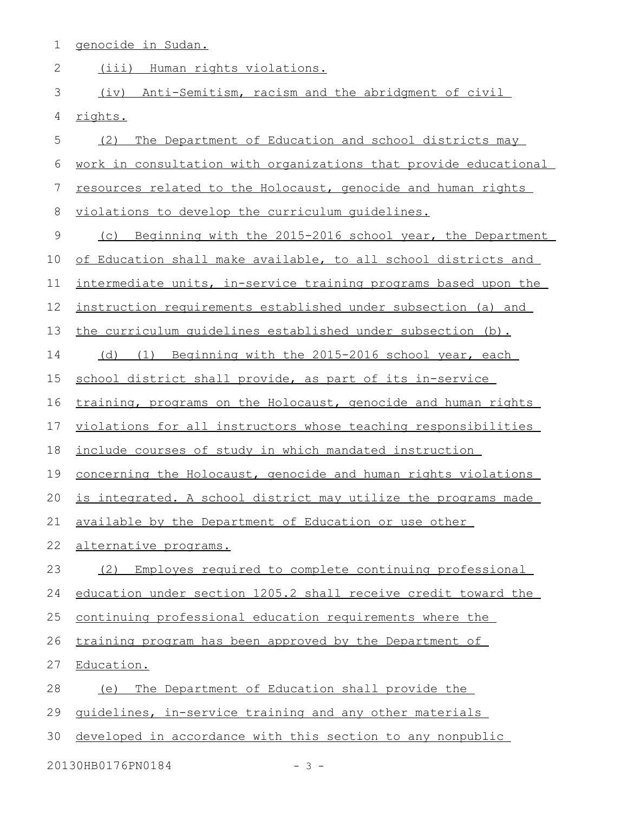1 genocide in Sudan.

| $\mathbf{2}$ | <u>(iii) Human rights violations.</u>                            |
|--------------|------------------------------------------------------------------|
| 3            | Anti-Semitism, racism and the abridgment of civil<br>(iv)        |
| 4            | rights.                                                          |
| 5            | The Department of Education and school districts may<br>(2)      |
| 6            | work in consultation with organizations that provide educational |
| 7            | resources related to the Holocaust, genocide and human rights    |
| $\,8\,$      | violations to develop the curriculum quidelines.                 |
| $\mathsf 9$  | (c) Beginning with the 2015-2016 school year, the Department     |
| 10           | of Education shall make available, to all school districts and   |
| 11           | intermediate units, in-service training programs based upon the  |
| 12           | instruction requirements established under subsection (a) and    |
| 13           | the curriculum quidelines established under subsection (b).      |
| 14           | (1) Beginning with the 2015-2016 school year, each<br>(d)        |
| 15           | school district shall provide, as part of its in-service         |
| 16           | training, programs on the Holocaust, genocide and human rights   |
| 17           | violations for all instructors whose teaching responsibilities   |
| 18           | include courses of study in which mandated instruction           |
| 19           | concerning the Holocaust, genocide and human rights violations   |
| 20           | is integrated. A school district may utilize the programs made   |
| 21           | available by the Department of Education or use other            |
| 22           | alternative programs.                                            |
| 23           | (2) Employes required to complete continuing professional        |
| 24           | education under section 1205.2 shall receive credit toward the   |
| 25           | continuing professional education requirements where the         |
| 26           | training program has been approved by the Department of          |
| 27           | Education.                                                       |
| 28           | The Department of Education shall provide the<br>(e)             |
| 29           | guidelines, in-service training and any other materials          |
| 30           | developed in accordance with this section to any nonpublic       |

20130HB0176PN0184 - 3 -